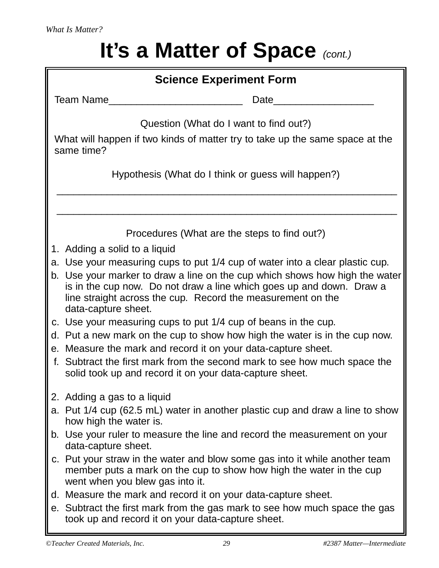## **It's a Matter of Space** (cont.)

| <b>Science Experiment Form</b>                                                                                                                                                                                                                                                                                            |
|---------------------------------------------------------------------------------------------------------------------------------------------------------------------------------------------------------------------------------------------------------------------------------------------------------------------------|
| Team Name<br>Date                                                                                                                                                                                                                                                                                                         |
| Question (What do I want to find out?)                                                                                                                                                                                                                                                                                    |
| What will happen if two kinds of matter try to take up the same space at the<br>same time?                                                                                                                                                                                                                                |
| Hypothesis (What do I think or guess will happen?)                                                                                                                                                                                                                                                                        |
|                                                                                                                                                                                                                                                                                                                           |
| Procedures (What are the steps to find out?)                                                                                                                                                                                                                                                                              |
| 1. Adding a solid to a liquid                                                                                                                                                                                                                                                                                             |
| a. Use your measuring cups to put 1/4 cup of water into a clear plastic cup.<br>b. Use your marker to draw a line on the cup which shows how high the water<br>is in the cup now. Do not draw a line which goes up and down. Draw a<br>line straight across the cup. Record the measurement on the<br>data-capture sheet. |
| c. Use your measuring cups to put 1/4 cup of beans in the cup.                                                                                                                                                                                                                                                            |
| d. Put a new mark on the cup to show how high the water is in the cup now.                                                                                                                                                                                                                                                |
| e. Measure the mark and record it on your data-capture sheet.<br>f. Subtract the first mark from the second mark to see how much space the<br>solid took up and record it on your data-capture sheet.                                                                                                                     |
|                                                                                                                                                                                                                                                                                                                           |
| Adding a gas to a liquid                                                                                                                                                                                                                                                                                                  |
| a. Put 1/4 cup (62.5 mL) water in another plastic cup and draw a line to show<br>how high the water is.                                                                                                                                                                                                                   |
| b. Use your ruler to measure the line and record the measurement on your<br>data-capture sheet.                                                                                                                                                                                                                           |
| c. Put your straw in the water and blow some gas into it while another team<br>member puts a mark on the cup to show how high the water in the cup<br>went when you blew gas into it.                                                                                                                                     |
| d. Measure the mark and record it on your data-capture sheet.                                                                                                                                                                                                                                                             |
| e. Subtract the first mark from the gas mark to see how much space the gas<br>took up and record it on your data-capture sheet.                                                                                                                                                                                           |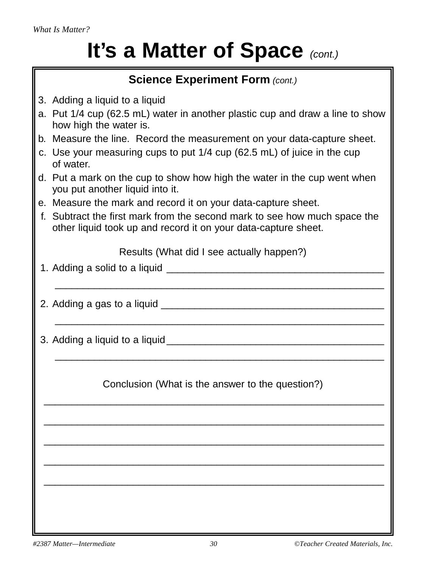*What Is Matter?*

## **It's a Matter of Space** (cont.)

| <b>Science Experiment Form (cont.)</b>                                                                                                      |
|---------------------------------------------------------------------------------------------------------------------------------------------|
| 3. Adding a liquid to a liquid                                                                                                              |
| a. Put 1/4 cup (62.5 mL) water in another plastic cup and draw a line to show<br>how high the water is.                                     |
| b. Measure the line. Record the measurement on your data-capture sheet.                                                                     |
| c. Use your measuring cups to put 1/4 cup (62.5 mL) of juice in the cup<br>of water.                                                        |
| d. Put a mark on the cup to show how high the water in the cup went when<br>you put another liquid into it.                                 |
| e. Measure the mark and record it on your data-capture sheet.                                                                               |
| f. Subtract the first mark from the second mark to see how much space the<br>other liquid took up and record it on your data-capture sheet. |
| Results (What did I see actually happen?)                                                                                                   |
|                                                                                                                                             |
| 2. Adding a gas to a liquid ______<br><u> 1989 - Johann Barbara, martxa alemaniar a</u>                                                     |
| 3. Adding a liquid to a liquid ___                                                                                                          |
| Conclusion (What is the answer to the question?)                                                                                            |
|                                                                                                                                             |
|                                                                                                                                             |
|                                                                                                                                             |
|                                                                                                                                             |
|                                                                                                                                             |